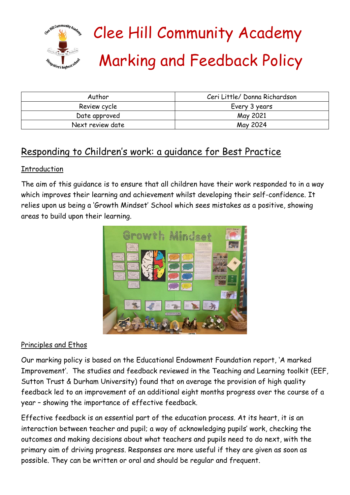

# Clee Hill Community Academy Marking and Feedback Policy

| Author           | Ceri Little/ Donna Richardson |
|------------------|-------------------------------|
| Review cycle     | Every 3 years                 |
| Date approved    | May 2021                      |
| Next review date | May 2024                      |

# Responding to Children's work: a guidance for Best Practice

# Introduction

The aim of this guidance is to ensure that all children have their work responded to in a way which improves their learning and achievement whilst developing their self-confidence. It relies upon us being a 'Growth Mindset' School which sees mistakes as a positive, showing areas to build upon their learning.



# Principles and Ethos

Our marking policy is based on the Educational Endowment Foundation report, 'A marked Improvement'. The studies and feedback reviewed in the Teaching and Learning toolkit (EEF, Sutton Trust & Durham University) found that on average the provision of high quality feedback led to an improvement of an additional eight months progress over the course of a year – showing the importance of effective feedback.

Effective feedback is an essential part of the education process. At its heart, it is an interaction between teacher and pupil; a way of acknowledging pupils' work, checking the outcomes and making decisions about what teachers and pupils need to do next, with the primary aim of driving progress. Responses are more useful if they are given as soon as possible. They can be written or oral and should be regular and frequent.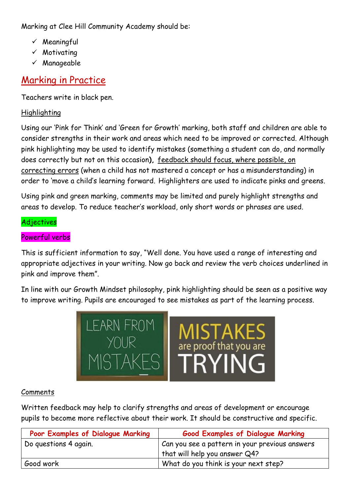Marking at Clee Hill Community Academy should be:

- ✓ Meaningful
- ✓ Motivating
- ✓ Manageable

# Marking in Practice

Teachers write in black pen.

# Highlighting

Using our 'Pink for Think' and 'Green for Growth' marking, both staff and children are able to consider strengths in their work and areas which need to be improved or corrected. Although pink highlighting may be used to identify mistakes (something a student can do, and normally does correctly but not on this occasion**),** feedback should focus, where possible, on correcting errors (when a child has not mastered a concept or has a misunderstanding) in order to 'move a child's learning forward. Highlighters are used to indicate pinks and greens.

Using pink and green marking, comments may be limited and purely highlight strengths and areas to develop. To reduce teacher's workload, only short words or phrases are used.

# Adjectives

# Powerful verbs

This is sufficient information to say, "Well done. You have used a range of interesting and appropriate adjectives in your writing. Now go back and review the verb choices underlined in pink and improve them".

In line with our Growth Mindset philosophy, pink highlighting should be seen as a positive way to improve writing. Pupils are encouraged to see mistakes as part of the learning process.



# Comments

Written feedback may help to clarify strengths and areas of development or encourage pupils to become more reflective about their work. It should be constructive and specific.

| Poor Examples of Dialogue Marking | <b>Good Examples of Dialogue Marking</b>       |
|-----------------------------------|------------------------------------------------|
| Do questions 4 again.             | Can you see a pattern in your previous answers |
|                                   | that will help you answer Q4?                  |
| Good work                         | What do you think is your next step?           |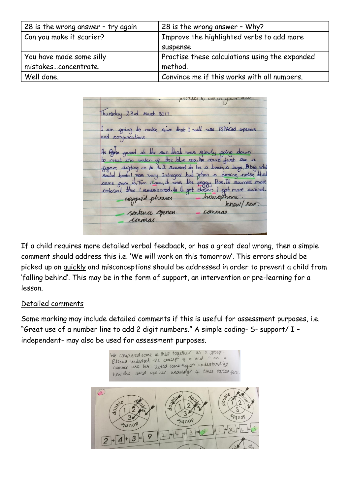| 28 is the wrong answer - try again | 28 is the wrong answer - Why?                  |
|------------------------------------|------------------------------------------------|
| Can you make it scarier?           | Improve the highlighted verbs to add more      |
|                                    | suspense                                       |
| You have made some silly           | Practise these calculations using the expanded |
| mistakesconcentrate.               | method.                                        |
| Well done.                         | Convince me if this works with all numbers.    |

phases to we in your Thursday 23rd March 2017 I am going to make since that I will use ISPACed openers and conjuncations. As Agric gazed at the sun that was slowly going down to meet the water of the blue sea, he could just see a signe dripting on to it. It seemed to be a boot, a large, D big while sailed book. I was very intreged but when a droning noise that came grom it, Then I Knew, it was the peggy Boe. It seemed more hangchone magpied phrases knew/rew. commas sentence openess. conmas.

If a child requires more detailed verbal feedback, or has a great deal wrong, then a simple comment should address this i.e. 'We will work on this tomorrow'. This errors should be picked up on quickly and misconceptions should be addressed in order to prevent a child from 'falling behind'. This may be in the form of support, an intervention or pre-learning for a lesson.

# Detailed comments

Some marking may include detailed comments if this is useful for assessment purposes, i.e. "Great use of a number line to add 2 digit numbers." A simple coding- S- support/ I – independent- may also be used for assessment purposes.

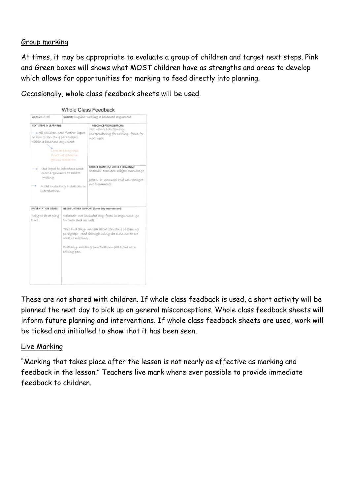#### Group marking

At times, it may be appropriate to evaluate a group of children and target next steps. Pink and Green boxes will shows what MOST children have as strengths and areas to develop which allows for opportunities for marking to feed directly into planning.

Occasionally, whole class feedback sheets will be used.

| Date: 23.5.18                                                                                                                       |                                                                                           | Subject: English-writing a balanced argument                                                                                                                                                                                                             |
|-------------------------------------------------------------------------------------------------------------------------------------|-------------------------------------------------------------------------------------------|----------------------------------------------------------------------------------------------------------------------------------------------------------------------------------------------------------------------------------------------------------|
| <b>NEXT STEPS IN LEARNING:</b><br>* All ohildren need further input<br>on how to structure paragraphs<br>within a balanced argument | Look at paragraph.<br>structure game in<br>OVOUDS COMOYYOU.                               | MISCONCEPTIONS/ERRORS:<br>Not using a dictionary<br>independently for editing-focus for<br>Wext weeks.                                                                                                                                                   |
| writing<br>introduction.                                                                                                            | use input to introduce some<br>more arguments to add to<br>Model including a statistic in | <b>GOOD EXAMPLES/FURTHER CHALLNGE:</b><br>inakshi- excellent subject knowledge<br>Jake L-D- unusual and well thought<br>out arguments                                                                                                                    |
| PRESENTATION ISSUES:<br>Toby-re-do at play<br>time                                                                                  | through and include.<br>what is missing.<br>editing pen.                                  | NEED FURTHER SUPPORT (Same Day Intervention):<br>Rebekah- not included any facts in argument- go<br>Theo and Sky-unclear about structure of opening<br>paragraph-read through using the class SC to see<br>Brittany- missing punctuation-read aloud with |

These are not shared with children. If whole class feedback is used, a short activity will be planned the next day to pick up on general misconceptions. Whole class feedback sheets will inform future planning and interventions. If whole class feedback sheets are used, work will be ticked and initialled to show that it has been seen.

#### Live Marking

"Marking that takes place after the lesson is not nearly as effective as marking and feedback in the lesson." Teachers live mark where ever possible to provide immediate feedback to children.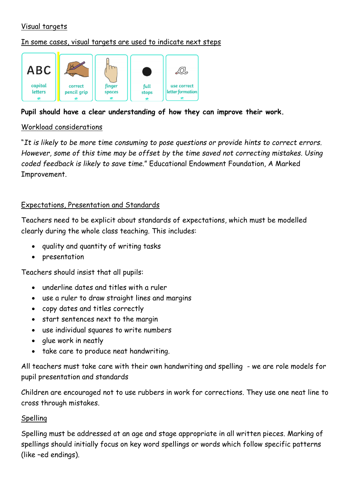# Visual targets

# In some cases, visual targets are used to indicate next steps



# **Pupil should have a clear understanding of how they can improve their work.**

# Workload considerations

"*It is likely to be more time consuming to pose questions or provide hints to correct errors. However, some of this time may be offset by the time saved not correcting mistakes. Using coded feedback is likely to save time*." Educational Endowment Foundation, A Marked Improvement.

# Expectations, Presentation and Standards

Teachers need to be explicit about standards of expectations, which must be modelled clearly during the whole class teaching. This includes:

- quality and quantity of writing tasks
- presentation

Teachers should insist that all pupils:

- underline dates and titles with a ruler
- use a ruler to draw straight lines and margins
- copy dates and titles correctly
- start sentences next to the margin
- use individual squares to write numbers
- glue work in neatly
- take care to produce neat handwriting.

All teachers must take care with their own handwriting and spelling - we are role models for pupil presentation and standards

Children are encouraged not to use rubbers in work for corrections. They use one neat line to cross through mistakes.

# Spelling

Spelling must be addressed at an age and stage appropriate in all written pieces. Marking of spellings should initially focus on key word spellings or words which follow specific patterns (like –ed endings).